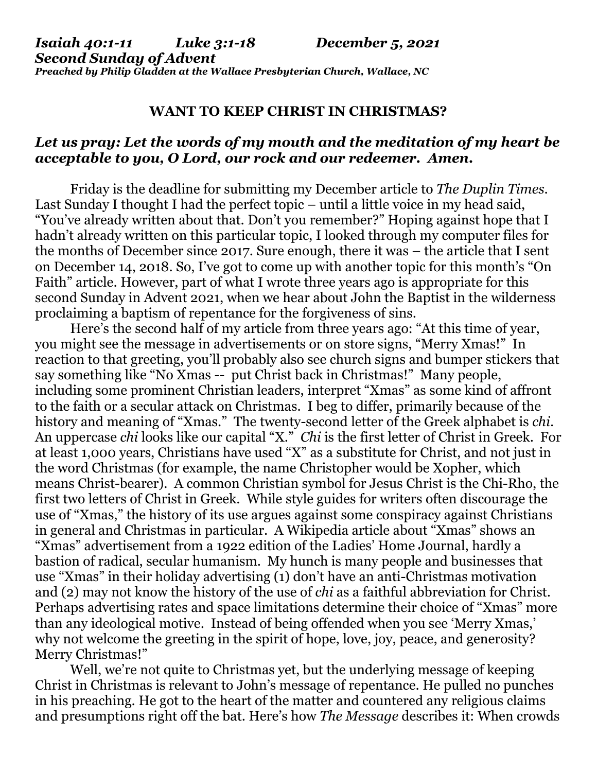## **WANT TO KEEP CHRIST IN CHRISTMAS?**

## *Let us pray: Let the words of my mouth and the meditation of my heart be acceptable to you, O Lord, our rock and our redeemer. Amen.*

Friday is the deadline for submitting my December article to *The Duplin Times*. Last Sunday I thought I had the perfect topic – until a little voice in my head said, "You've already written about that. Don't you remember?" Hoping against hope that I hadn't already written on this particular topic, I looked through my computer files for the months of December since 2017. Sure enough, there it was – the article that I sent on December 14, 2018. So, I've got to come up with another topic for this month's "On Faith" article. However, part of what I wrote three years ago is appropriate for this second Sunday in Advent 2021, when we hear about John the Baptist in the wilderness proclaiming a baptism of repentance for the forgiveness of sins.

 Here's the second half of my article from three years ago: "At this time of year, you might see the message in advertisements or on store signs, "Merry Xmas!" In reaction to that greeting, you'll probably also see church signs and bumper stickers that say something like "No Xmas -- put Christ back in Christmas!" Many people, including some prominent Christian leaders, interpret "Xmas" as some kind of affront to the faith or a secular attack on Christmas. I beg to differ, primarily because of the history and meaning of "Xmas." The twenty-second letter of the Greek alphabet is *chi*. An uppercase *chi* looks like our capital "X." *Chi* is the first letter of Christ in Greek. For at least 1,000 years, Christians have used "X" as a substitute for Christ, and not just in the word Christmas (for example, the name Christopher would be Xopher, which means Christ-bearer). A common Christian symbol for Jesus Christ is the Chi-Rho, the first two letters of Christ in Greek. While style guides for writers often discourage the use of "Xmas," the history of its use argues against some conspiracy against Christians in general and Christmas in particular. A Wikipedia article about "Xmas" shows an "Xmas" advertisement from a 1922 edition of the Ladies' Home Journal, hardly a bastion of radical, secular humanism. My hunch is many people and businesses that use "Xmas" in their holiday advertising (1) don't have an anti-Christmas motivation and (2) may not know the history of the use of *chi* as a faithful abbreviation for Christ. Perhaps advertising rates and space limitations determine their choice of "Xmas" more than any ideological motive. Instead of being offended when you see 'Merry Xmas,' why not welcome the greeting in the spirit of hope, love, joy, peace, and generosity? Merry Christmas!"

 Well, we're not quite to Christmas yet, but the underlying message of keeping Christ in Christmas is relevant to John's message of repentance. He pulled no punches in his preaching. He got to the heart of the matter and countered any religious claims and presumptions right off the bat. Here's how *The Message* describes it: When crowds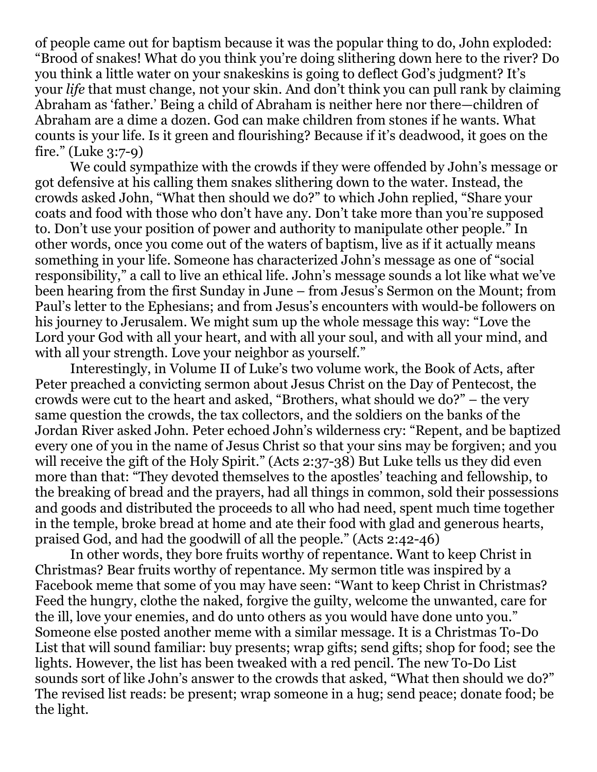of people came out for baptism because it was the popular thing to do, John exploded: "Brood of snakes! What do you think you're doing slithering down here to the river? Do you think a little water on your snakeskins is going to deflect God's judgment? It's your *life* that must change, not your skin. And don't think you can pull rank by claiming Abraham as 'father.' Being a child of Abraham is neither here nor there—children of Abraham are a dime a dozen. God can make children from stones if he wants. What counts is your life. Is it green and flourishing? Because if it's deadwood, it goes on the fire." (Luke 3:7-9)

 We could sympathize with the crowds if they were offended by John's message or got defensive at his calling them snakes slithering down to the water. Instead, the crowds asked John, "What then should we do?" to which John replied, "Share your coats and food with those who don't have any. Don't take more than you're supposed to. Don't use your position of power and authority to manipulate other people." In other words, once you come out of the waters of baptism, live as if it actually means something in your life. Someone has characterized John's message as one of "social responsibility," a call to live an ethical life. John's message sounds a lot like what we've been hearing from the first Sunday in June – from Jesus's Sermon on the Mount; from Paul's letter to the Ephesians; and from Jesus's encounters with would-be followers on his journey to Jerusalem. We might sum up the whole message this way: "Love the Lord your God with all your heart, and with all your soul, and with all your mind, and with all your strength. Love your neighbor as yourself."

 Interestingly, in Volume II of Luke's two volume work, the Book of Acts, after Peter preached a convicting sermon about Jesus Christ on the Day of Pentecost, the crowds were cut to the heart and asked, "Brothers, what should we do?" – the very same question the crowds, the tax collectors, and the soldiers on the banks of the Jordan River asked John. Peter echoed John's wilderness cry: "Repent, and be baptized every one of you in the name of Jesus Christ so that your sins may be forgiven; and you will receive the gift of the Holy Spirit." (Acts 2:37-38) But Luke tells us they did even more than that: "They devoted themselves to the apostles' teaching and fellowship, to the breaking of bread and the prayers, had all things in common, sold their possessions and goods and distributed the proceeds to all who had need, spent much time together in the temple, broke bread at home and ate their food with glad and generous hearts, praised God, and had the goodwill of all the people." (Acts 2:42-46)

 In other words, they bore fruits worthy of repentance. Want to keep Christ in Christmas? Bear fruits worthy of repentance. My sermon title was inspired by a Facebook meme that some of you may have seen: "Want to keep Christ in Christmas? Feed the hungry, clothe the naked, forgive the guilty, welcome the unwanted, care for the ill, love your enemies, and do unto others as you would have done unto you." Someone else posted another meme with a similar message. It is a Christmas To-Do List that will sound familiar: buy presents; wrap gifts; send gifts; shop for food; see the lights. However, the list has been tweaked with a red pencil. The new To-Do List sounds sort of like John's answer to the crowds that asked, "What then should we do?" The revised list reads: be present; wrap someone in a hug; send peace; donate food; be the light.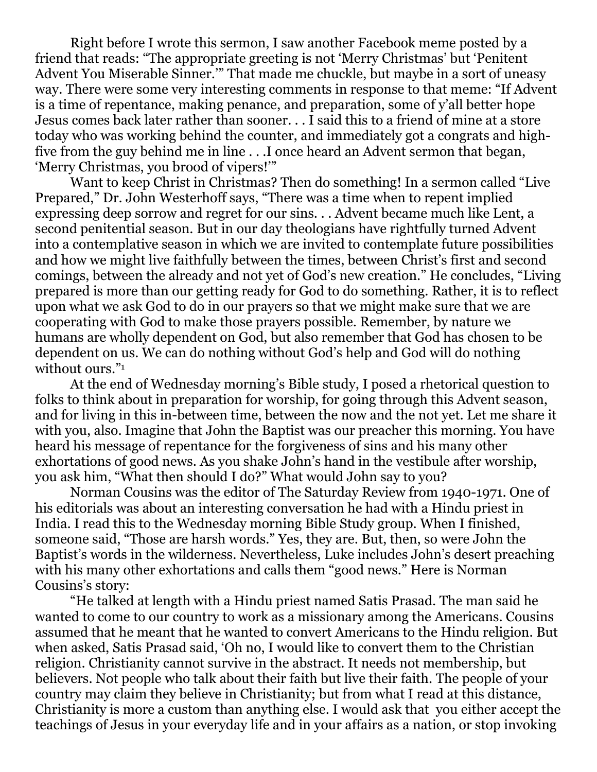Right before I wrote this sermon, I saw another Facebook meme posted by a friend that reads: "The appropriate greeting is not 'Merry Christmas' but 'Penitent Advent You Miserable Sinner.'" That made me chuckle, but maybe in a sort of uneasy way. There were some very interesting comments in response to that meme: "If Advent is a time of repentance, making penance, and preparation, some of y'all better hope Jesus comes back later rather than sooner. . . I said this to a friend of mine at a store today who was working behind the counter, and immediately got a congrats and highfive from the guy behind me in line . . .I once heard an Advent sermon that began, 'Merry Christmas, you brood of vipers!'"

 Want to keep Christ in Christmas? Then do something! In a sermon called "Live Prepared," Dr. John Westerhoff says, "There was a time when to repent implied expressing deep sorrow and regret for our sins. . . Advent became much like Lent, a second penitential season. But in our day theologians have rightfully turned Advent into a contemplative season in which we are invited to contemplate future possibilities and how we might live faithfully between the times, between Christ's first and second comings, between the already and not yet of God's new creation." He concludes, "Living prepared is more than our getting ready for God to do something. Rather, it is to reflect upon what we ask God to do in our prayers so that we might make sure that we are cooperating with God to make those prayers possible. Remember, by nature we humans are wholly dependent on God, but also remember that God has chosen to be dependent on us. We can do nothing without God's help and God will do nothing without ours."<sup>1</sup>

 At the end of Wednesday morning's Bible study, I posed a rhetorical question to folks to think about in preparation for worship, for going through this Advent season, and for living in this in-between time, between the now and the not yet. Let me share it with you, also. Imagine that John the Baptist was our preacher this morning. You have heard his message of repentance for the forgiveness of sins and his many other exhortations of good news. As you shake John's hand in the vestibule after worship, you ask him, "What then should I do?" What would John say to you?

 Norman Cousins was the editor of The Saturday Review from 1940-1971. One of his editorials was about an interesting conversation he had with a Hindu priest in India. I read this to the Wednesday morning Bible Study group. When I finished, someone said, "Those are harsh words." Yes, they are. But, then, so were John the Baptist's words in the wilderness. Nevertheless, Luke includes John's desert preaching with his many other exhortations and calls them "good news." Here is Norman Cousins's story:

 "He talked at length with a Hindu priest named Satis Prasad. The man said he wanted to come to our country to work as a missionary among the Americans. Cousins assumed that he meant that he wanted to convert Americans to the Hindu religion. But when asked, Satis Prasad said, 'Oh no, I would like to convert them to the Christian religion. Christianity cannot survive in the abstract. It needs not membership, but believers. Not people who talk about their faith but live their faith. The people of your country may claim they believe in Christianity; but from what I read at this distance, Christianity is more a custom than anything else. I would ask that you either accept the teachings of Jesus in your everyday life and in your affairs as a nation, or stop invoking